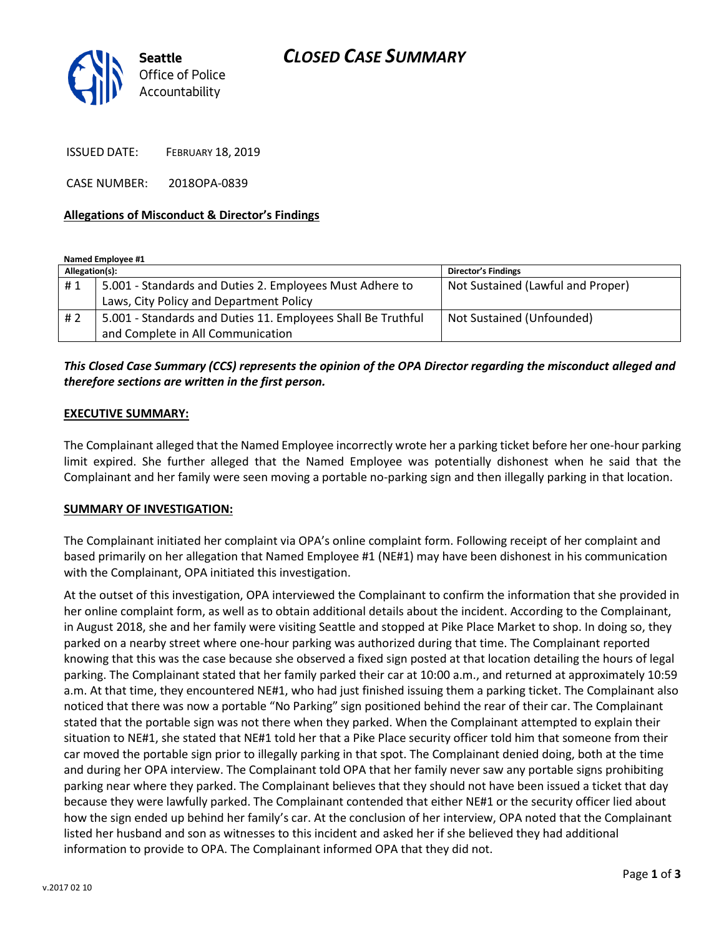# *CLOSED CASE SUMMARY*



ISSUED DATE: FEBRUARY 18, 2019

CASE NUMBER: 2018OPA-0839

### **Allegations of Misconduct & Director's Findings**

**Named Employee #1**

| Allegation(s): |                                                              | <b>Director's Findings</b>        |
|----------------|--------------------------------------------------------------|-----------------------------------|
| #1             | 5.001 - Standards and Duties 2. Employees Must Adhere to     | Not Sustained (Lawful and Proper) |
|                | Laws, City Policy and Department Policy                      |                                   |
| #2             | 5.001 - Standards and Duties 11. Employees Shall Be Truthful | Not Sustained (Unfounded)         |
|                | and Complete in All Communication                            |                                   |

# *This Closed Case Summary (CCS) represents the opinion of the OPA Director regarding the misconduct alleged and therefore sections are written in the first person.*

#### **EXECUTIVE SUMMARY:**

The Complainant alleged that the Named Employee incorrectly wrote her a parking ticket before her one-hour parking limit expired. She further alleged that the Named Employee was potentially dishonest when he said that the Complainant and her family were seen moving a portable no-parking sign and then illegally parking in that location.

#### **SUMMARY OF INVESTIGATION:**

The Complainant initiated her complaint via OPA's online complaint form. Following receipt of her complaint and based primarily on her allegation that Named Employee #1 (NE#1) may have been dishonest in his communication with the Complainant, OPA initiated this investigation.

At the outset of this investigation, OPA interviewed the Complainant to confirm the information that she provided in her online complaint form, as well as to obtain additional details about the incident. According to the Complainant, in August 2018, she and her family were visiting Seattle and stopped at Pike Place Market to shop. In doing so, they parked on a nearby street where one-hour parking was authorized during that time. The Complainant reported knowing that this was the case because she observed a fixed sign posted at that location detailing the hours of legal parking. The Complainant stated that her family parked their car at 10:00 a.m., and returned at approximately 10:59 a.m. At that time, they encountered NE#1, who had just finished issuing them a parking ticket. The Complainant also noticed that there was now a portable "No Parking" sign positioned behind the rear of their car. The Complainant stated that the portable sign was not there when they parked. When the Complainant attempted to explain their situation to NE#1, she stated that NE#1 told her that a Pike Place security officer told him that someone from their car moved the portable sign prior to illegally parking in that spot. The Complainant denied doing, both at the time and during her OPA interview. The Complainant told OPA that her family never saw any portable signs prohibiting parking near where they parked. The Complainant believes that they should not have been issued a ticket that day because they were lawfully parked. The Complainant contended that either NE#1 or the security officer lied about how the sign ended up behind her family's car. At the conclusion of her interview, OPA noted that the Complainant listed her husband and son as witnesses to this incident and asked her if she believed they had additional information to provide to OPA. The Complainant informed OPA that they did not.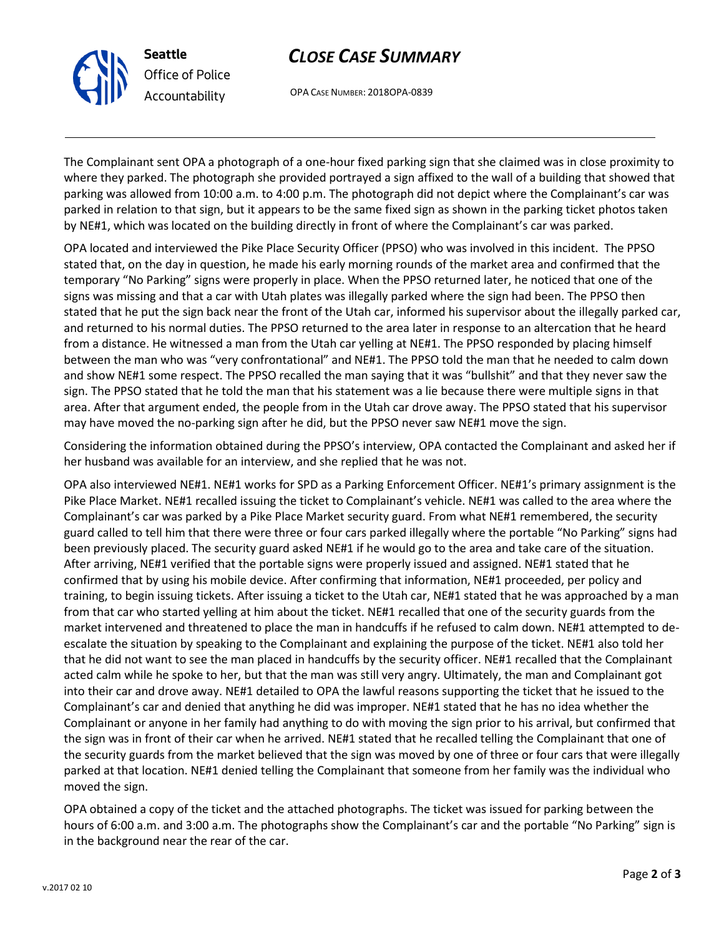



OPA CASE NUMBER: 2018OPA-0839

The Complainant sent OPA a photograph of a one-hour fixed parking sign that she claimed was in close proximity to where they parked. The photograph she provided portrayed a sign affixed to the wall of a building that showed that parking was allowed from 10:00 a.m. to 4:00 p.m. The photograph did not depict where the Complainant's car was parked in relation to that sign, but it appears to be the same fixed sign as shown in the parking ticket photos taken by NE#1, which was located on the building directly in front of where the Complainant's car was parked.

OPA located and interviewed the Pike Place Security Officer (PPSO) who was involved in this incident. The PPSO stated that, on the day in question, he made his early morning rounds of the market area and confirmed that the temporary "No Parking" signs were properly in place. When the PPSO returned later, he noticed that one of the signs was missing and that a car with Utah plates was illegally parked where the sign had been. The PPSO then stated that he put the sign back near the front of the Utah car, informed his supervisor about the illegally parked car, and returned to his normal duties. The PPSO returned to the area later in response to an altercation that he heard from a distance. He witnessed a man from the Utah car yelling at NE#1. The PPSO responded by placing himself between the man who was "very confrontational" and NE#1. The PPSO told the man that he needed to calm down and show NE#1 some respect. The PPSO recalled the man saying that it was "bullshit" and that they never saw the sign. The PPSO stated that he told the man that his statement was a lie because there were multiple signs in that area. After that argument ended, the people from in the Utah car drove away. The PPSO stated that his supervisor may have moved the no-parking sign after he did, but the PPSO never saw NE#1 move the sign.

Considering the information obtained during the PPSO's interview, OPA contacted the Complainant and asked her if her husband was available for an interview, and she replied that he was not.

OPA also interviewed NE#1. NE#1 works for SPD as a Parking Enforcement Officer. NE#1's primary assignment is the Pike Place Market. NE#1 recalled issuing the ticket to Complainant's vehicle. NE#1 was called to the area where the Complainant's car was parked by a Pike Place Market security guard. From what NE#1 remembered, the security guard called to tell him that there were three or four cars parked illegally where the portable "No Parking" signs had been previously placed. The security guard asked NE#1 if he would go to the area and take care of the situation. After arriving, NE#1 verified that the portable signs were properly issued and assigned. NE#1 stated that he confirmed that by using his mobile device. After confirming that information, NE#1 proceeded, per policy and training, to begin issuing tickets. After issuing a ticket to the Utah car, NE#1 stated that he was approached by a man from that car who started yelling at him about the ticket. NE#1 recalled that one of the security guards from the market intervened and threatened to place the man in handcuffs if he refused to calm down. NE#1 attempted to deescalate the situation by speaking to the Complainant and explaining the purpose of the ticket. NE#1 also told her that he did not want to see the man placed in handcuffs by the security officer. NE#1 recalled that the Complainant acted calm while he spoke to her, but that the man was still very angry. Ultimately, the man and Complainant got into their car and drove away. NE#1 detailed to OPA the lawful reasons supporting the ticket that he issued to the Complainant's car and denied that anything he did was improper. NE#1 stated that he has no idea whether the Complainant or anyone in her family had anything to do with moving the sign prior to his arrival, but confirmed that the sign was in front of their car when he arrived. NE#1 stated that he recalled telling the Complainant that one of the security guards from the market believed that the sign was moved by one of three or four cars that were illegally parked at that location. NE#1 denied telling the Complainant that someone from her family was the individual who moved the sign.

OPA obtained a copy of the ticket and the attached photographs. The ticket was issued for parking between the hours of 6:00 a.m. and 3:00 a.m. The photographs show the Complainant's car and the portable "No Parking" sign is in the background near the rear of the car.